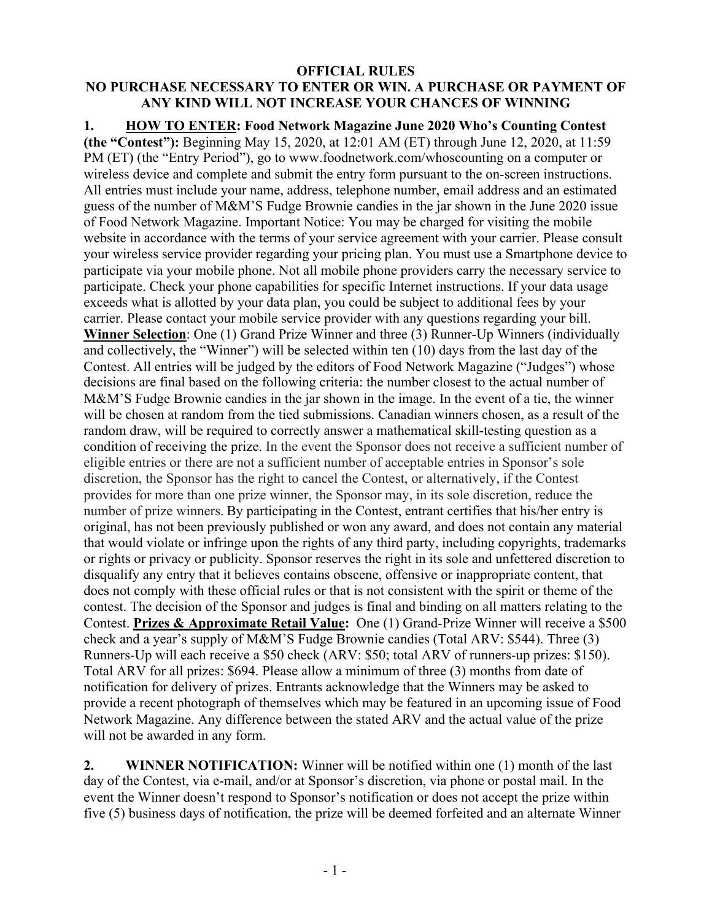## **OFFICIAL RULES NO PURCHASE NECESSARY TO ENTER OR WIN. A PURCHASE OR PAYMENT OF ANY KIND WILL NOT INCREASE YOUR CHANCES OF WINNING**

**1. HOW TO ENTER: Food Network Magazine June 2020 Who's Counting Contest (the "Contest"):** Beginning May 15, 2020, at 12:01 AM (ET) through June 12, 2020, at 11:59 PM (ET) (the "Entry Period"), go to www.foodnetwork.com/whoscounting on a computer or wireless device and complete and submit the entry form pursuant to the on-screen instructions. All entries must include your name, address, telephone number, email address and an estimated guess of the number of M&M'S Fudge Brownie candies in the jar shown in the June 2020 issue of Food Network Magazine. Important Notice: You may be charged for visiting the mobile website in accordance with the terms of your service agreement with your carrier. Please consult your wireless service provider regarding your pricing plan. You must use a Smartphone device to participate via your mobile phone. Not all mobile phone providers carry the necessary service to participate. Check your phone capabilities for specific Internet instructions. If your data usage exceeds what is allotted by your data plan, you could be subject to additional fees by your carrier. Please contact your mobile service provider with any questions regarding your bill. **Winner Selection**: One (1) Grand Prize Winner and three (3) Runner-Up Winners (individually and collectively, the "Winner") will be selected within ten (10) days from the last day of the Contest. All entries will be judged by the editors of Food Network Magazine ("Judges") whose decisions are final based on the following criteria: the number closest to the actual number of M&M'S Fudge Brownie candies in the jar shown in the image. In the event of a tie, the winner will be chosen at random from the tied submissions. Canadian winners chosen, as a result of the random draw, will be required to correctly answer a mathematical skill-testing question as a condition of receiving the prize. In the event the Sponsor does not receive a sufficient number of eligible entries or there are not a sufficient number of acceptable entries in Sponsor's sole discretion, the Sponsor has the right to cancel the Contest, or alternatively, if the Contest provides for more than one prize winner, the Sponsor may, in its sole discretion, reduce the number of prize winners. By participating in the Contest, entrant certifies that his/her entry is original, has not been previously published or won any award, and does not contain any material that would violate or infringe upon the rights of any third party, including copyrights, trademarks or rights or privacy or publicity. Sponsor reserves the right in its sole and unfettered discretion to disqualify any entry that it believes contains obscene, offensive or inappropriate content, that does not comply with these official rules or that is not consistent with the spirit or theme of the contest. The decision of the Sponsor and judges is final and binding on all matters relating to the Contest. **Prizes & Approximate Retail Value:** One (1) Grand-Prize Winner will receive a \$500 check and a year's supply of M&M'S Fudge Brownie candies (Total ARV: \$544). Three (3) Runners-Up will each receive a \$50 check (ARV: \$50; total ARV of runners-up prizes: \$150). Total ARV for all prizes: \$694. Please allow a minimum of three (3) months from date of notification for delivery of prizes. Entrants acknowledge that the Winners may be asked to provide a recent photograph of themselves which may be featured in an upcoming issue of Food Network Magazine. Any difference between the stated ARV and the actual value of the prize will not be awarded in any form.

**2. WINNER NOTIFICATION:** Winner will be notified within one (1) month of the last day of the Contest, via e-mail, and/or at Sponsor's discretion, via phone or postal mail. In the event the Winner doesn't respond to Sponsor's notification or does not accept the prize within five (5) business days of notification, the prize will be deemed forfeited and an alternate Winner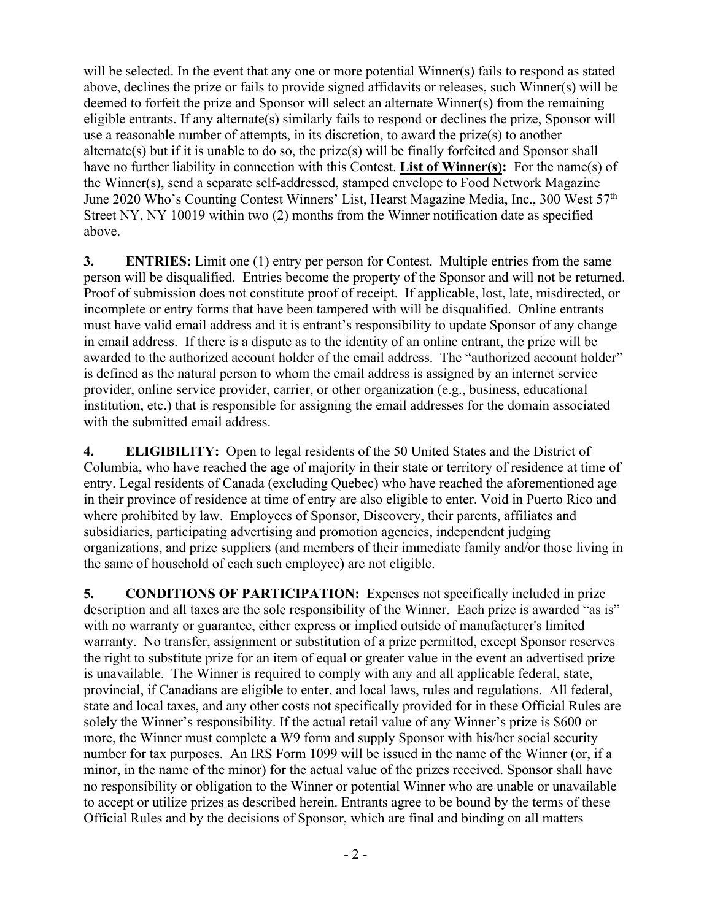will be selected. In the event that any one or more potential Winner(s) fails to respond as stated above, declines the prize or fails to provide signed affidavits or releases, such Winner(s) will be deemed to forfeit the prize and Sponsor will select an alternate Winner(s) from the remaining eligible entrants. If any alternate(s) similarly fails to respond or declines the prize, Sponsor will use a reasonable number of attempts, in its discretion, to award the prize(s) to another alternate(s) but if it is unable to do so, the prize(s) will be finally forfeited and Sponsor shall have no further liability in connection with this Contest. **List of Winner(s):** For the name(s) of the Winner(s), send a separate self-addressed, stamped envelope to Food Network Magazine June 2020 Who's Counting Contest Winners' List, Hearst Magazine Media, Inc., 300 West 57th Street NY, NY 10019 within two (2) months from the Winner notification date as specified above.

**3. ENTRIES:** Limit one (1) entry per person for Contest. Multiple entries from the same person will be disqualified. Entries become the property of the Sponsor and will not be returned. Proof of submission does not constitute proof of receipt. If applicable, lost, late, misdirected, or incomplete or entry forms that have been tampered with will be disqualified. Online entrants must have valid email address and it is entrant's responsibility to update Sponsor of any change in email address. If there is a dispute as to the identity of an online entrant, the prize will be awarded to the authorized account holder of the email address. The "authorized account holder" is defined as the natural person to whom the email address is assigned by an internet service provider, online service provider, carrier, or other organization (e.g., business, educational institution, etc.) that is responsible for assigning the email addresses for the domain associated with the submitted email address.

**4. ELIGIBILITY:** Open to legal residents of the 50 United States and the District of Columbia, who have reached the age of majority in their state or territory of residence at time of entry. Legal residents of Canada (excluding Quebec) who have reached the aforementioned age in their province of residence at time of entry are also eligible to enter. Void in Puerto Rico and where prohibited by law. Employees of Sponsor, Discovery, their parents, affiliates and subsidiaries, participating advertising and promotion agencies, independent judging organizations, and prize suppliers (and members of their immediate family and/or those living in the same of household of each such employee) are not eligible.

**5. CONDITIONS OF PARTICIPATION:** Expenses not specifically included in prize description and all taxes are the sole responsibility of the Winner. Each prize is awarded "as is" with no warranty or guarantee, either express or implied outside of manufacturer's limited warranty. No transfer, assignment or substitution of a prize permitted, except Sponsor reserves the right to substitute prize for an item of equal or greater value in the event an advertised prize is unavailable. The Winner is required to comply with any and all applicable federal, state, provincial, if Canadians are eligible to enter, and local laws, rules and regulations. All federal, state and local taxes, and any other costs not specifically provided for in these Official Rules are solely the Winner's responsibility. If the actual retail value of any Winner's prize is \$600 or more, the Winner must complete a W9 form and supply Sponsor with his/her social security number for tax purposes. An IRS Form 1099 will be issued in the name of the Winner (or, if a minor, in the name of the minor) for the actual value of the prizes received. Sponsor shall have no responsibility or obligation to the Winner or potential Winner who are unable or unavailable to accept or utilize prizes as described herein. Entrants agree to be bound by the terms of these Official Rules and by the decisions of Sponsor, which are final and binding on all matters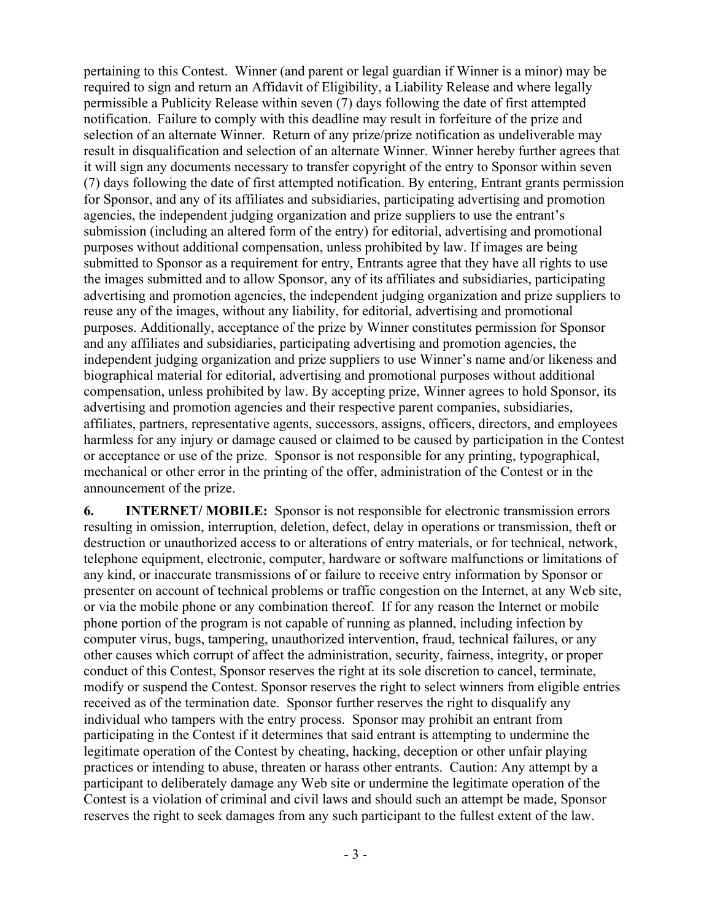pertaining to this Contest. Winner (and parent or legal guardian if Winner is a minor) may be required to sign and return an Affidavit of Eligibility, a Liability Release and where legally permissible a Publicity Release within seven (7) days following the date of first attempted notification. Failure to comply with this deadline may result in forfeiture of the prize and selection of an alternate Winner. Return of any prize/prize notification as undeliverable may result in disqualification and selection of an alternate Winner. Winner hereby further agrees that it will sign any documents necessary to transfer copyright of the entry to Sponsor within seven (7) days following the date of first attempted notification. By entering, Entrant grants permission for Sponsor, and any of its affiliates and subsidiaries, participating advertising and promotion agencies, the independent judging organization and prize suppliers to use the entrant's submission (including an altered form of the entry) for editorial, advertising and promotional purposes without additional compensation, unless prohibited by law. If images are being submitted to Sponsor as a requirement for entry, Entrants agree that they have all rights to use the images submitted and to allow Sponsor, any of its affiliates and subsidiaries, participating advertising and promotion agencies, the independent judging organization and prize suppliers to reuse any of the images, without any liability, for editorial, advertising and promotional purposes. Additionally, acceptance of the prize by Winner constitutes permission for Sponsor and any affiliates and subsidiaries, participating advertising and promotion agencies, the independent judging organization and prize suppliers to use Winner's name and/or likeness and biographical material for editorial, advertising and promotional purposes without additional compensation, unless prohibited by law. By accepting prize, Winner agrees to hold Sponsor, its advertising and promotion agencies and their respective parent companies, subsidiaries, affiliates, partners, representative agents, successors, assigns, officers, directors, and employees harmless for any injury or damage caused or claimed to be caused by participation in the Contest or acceptance or use of the prize. Sponsor is not responsible for any printing, typographical, mechanical or other error in the printing of the offer, administration of the Contest or in the announcement of the prize.

**6. INTERNET/ MOBILE:** Sponsor is not responsible for electronic transmission errors resulting in omission, interruption, deletion, defect, delay in operations or transmission, theft or destruction or unauthorized access to or alterations of entry materials, or for technical, network, telephone equipment, electronic, computer, hardware or software malfunctions or limitations of any kind, or inaccurate transmissions of or failure to receive entry information by Sponsor or presenter on account of technical problems or traffic congestion on the Internet, at any Web site, or via the mobile phone or any combination thereof. If for any reason the Internet or mobile phone portion of the program is not capable of running as planned, including infection by computer virus, bugs, tampering, unauthorized intervention, fraud, technical failures, or any other causes which corrupt of affect the administration, security, fairness, integrity, or proper conduct of this Contest, Sponsor reserves the right at its sole discretion to cancel, terminate, modify or suspend the Contest. Sponsor reserves the right to select winners from eligible entries received as of the termination date. Sponsor further reserves the right to disqualify any individual who tampers with the entry process. Sponsor may prohibit an entrant from participating in the Contest if it determines that said entrant is attempting to undermine the legitimate operation of the Contest by cheating, hacking, deception or other unfair playing practices or intending to abuse, threaten or harass other entrants. Caution: Any attempt by a participant to deliberately damage any Web site or undermine the legitimate operation of the Contest is a violation of criminal and civil laws and should such an attempt be made, Sponsor reserves the right to seek damages from any such participant to the fullest extent of the law.